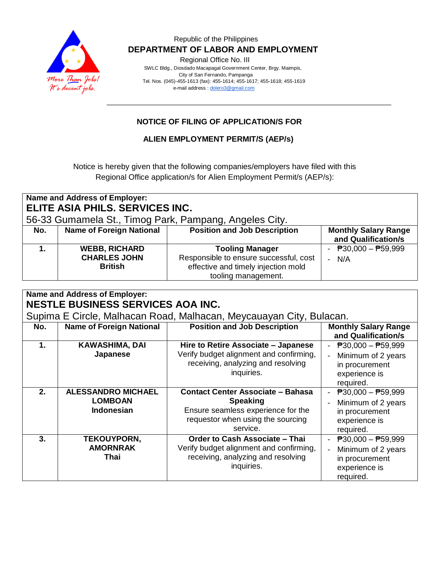

## Republic of the Philippines  **DEPARTMENT OF LABOR AND EMPLOYMENT**

Regional Office No. III

 SWLC Bldg., Diosdado Macapagal Government Center, Brgy. Maimpis, City of San Fernando, Pampanga Tel. Nos. (045)-455-1613 (fax): 455-1614; 455-1617; 455-1618; 455-1619 e-mail address [: dolero3@gmail.com](mailto:dolero3@gmail.com)

## **NOTICE OF FILING OF APPLICATION/S FOR**

## **ALIEN EMPLOYMENT PERMIT/S (AEP/s)**

Notice is hereby given that the following companies/employers have filed with this Regional Office application/s for Alien Employment Permit/s (AEP/s):

| Name and Address of Employer:<br>ELITE ASIA PHILS. SERVICES INC.<br>56-33 Gumamela St., Timog Park, Pampang, Angeles City. |                                                               |                                                                                                                                |                                                      |  |  |  |
|----------------------------------------------------------------------------------------------------------------------------|---------------------------------------------------------------|--------------------------------------------------------------------------------------------------------------------------------|------------------------------------------------------|--|--|--|
| No.                                                                                                                        | <b>Name of Foreign National</b>                               | <b>Position and Job Description</b>                                                                                            | <b>Monthly Salary Range</b><br>and Qualification/s   |  |  |  |
|                                                                                                                            | <b>WEBB, RICHARD</b><br><b>CHARLES JOHN</b><br><b>British</b> | <b>Tooling Manager</b><br>Responsible to ensure successful, cost<br>effective and timely injection mold<br>tooling management. | $\overline{P}30,000 - \overline{P}59,999$<br>- $N/A$ |  |  |  |

| Name and Address of Employer:<br><b>NESTLE BUSINESS SERVICES AOA INC.</b> |                                                                  |                                                                                                                                                    |                                                                                                                 |  |  |  |
|---------------------------------------------------------------------------|------------------------------------------------------------------|----------------------------------------------------------------------------------------------------------------------------------------------------|-----------------------------------------------------------------------------------------------------------------|--|--|--|
| Supima E Circle, Malhacan Road, Malhacan, Meycauayan City, Bulacan.       |                                                                  |                                                                                                                                                    |                                                                                                                 |  |  |  |
| No.                                                                       | <b>Name of Foreign National</b>                                  | <b>Position and Job Description</b>                                                                                                                | <b>Monthly Salary Range</b><br>and Qualification/s                                                              |  |  |  |
| $\mathbf 1$ .                                                             | KAWASHIMA, DAI<br>Japanese                                       | Hire to Retire Associate - Japanese<br>Verify budget alignment and confirming,<br>receiving, analyzing and resolving<br>inquiries.                 | $\overline{P}30,000 - \overline{P}59,999$<br>Minimum of 2 years<br>in procurement<br>experience is<br>required. |  |  |  |
| 2.                                                                        | <b>ALESSANDRO MICHAEL</b><br><b>LOMBOAN</b><br><b>Indonesian</b> | <b>Contact Center Associate - Bahasa</b><br><b>Speaking</b><br>Ensure seamless experience for the<br>requestor when using the sourcing<br>service. | $\overline{P}30,000 - \overline{P}59,999$<br>Minimum of 2 years<br>in procurement<br>experience is<br>required. |  |  |  |
| 3.                                                                        | <b>TEKOUYPORN,</b><br><b>AMORNRAK</b><br>Thai                    | <b>Order to Cash Associate - Thai</b><br>Verify budget alignment and confirming,<br>receiving, analyzing and resolving<br>inquiries.               | $\overline{P}30,000 - \overline{P}59,999$<br>Minimum of 2 years<br>in procurement<br>experience is<br>required. |  |  |  |